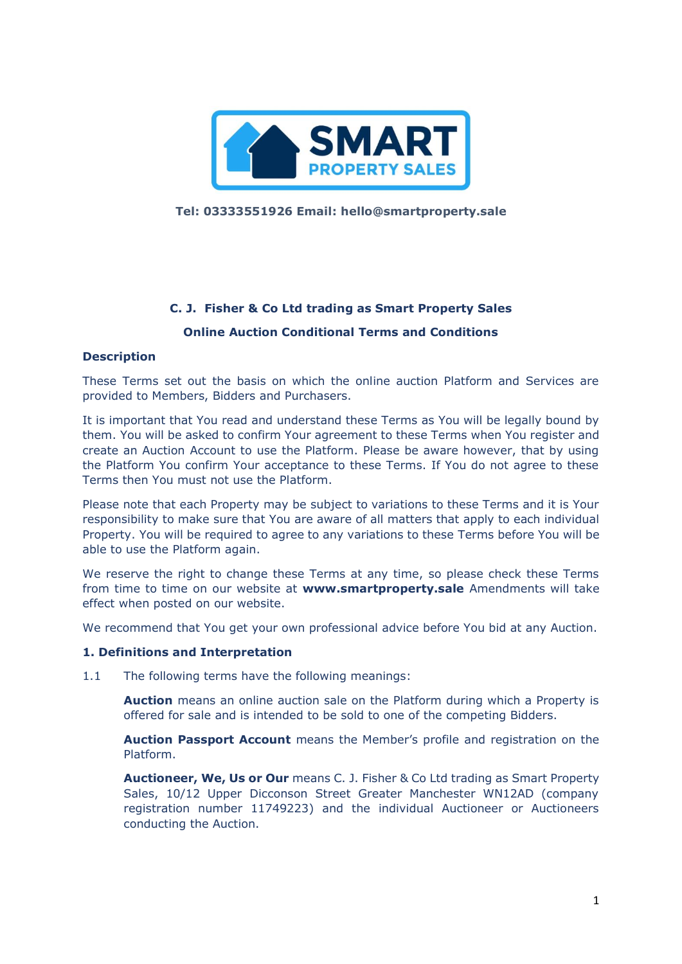

**Tel: 03333551926 Email: hello@smartproperty.sale**

# **C. J. Fisher & Co Ltd trading as Smart Property Sales**

# **Online Auction Conditional Terms and Conditions**

#### **Description**

These Terms set out the basis on which the online auction Platform and Services are provided to Members, Bidders and Purchasers.

It is important that You read and understand these Terms as You will be legally bound by them. You will be asked to confirm Your agreement to these Terms when You register and create an Auction Account to use the Platform. Please be aware however, that by using the Platform You confirm Your acceptance to these Terms. If You do not agree to these Terms then You must not use the Platform.

Please note that each Property may be subject to variations to these Terms and it is Your responsibility to make sure that You are aware of all matters that apply to each individual Property. You will be required to agree to any variations to these Terms before You will be able to use the Platform again.

We reserve the right to change these Terms at any time, so please check these Terms from time to time on our website at **www.smartproperty.sale** Amendments will take effect when posted on our website.

We recommend that You get your own professional advice before You bid at any Auction.

#### **1. Definitions and Interpretation**

1.1 The following terms have the following meanings:

**Auction** means an online auction sale on the Platform during which a Property is offered for sale and is intended to be sold to one of the competing Bidders.

**Auction Passport Account** means the Member's profile and registration on the Platform.

**Auctioneer, We, Us or Our** means C. J. Fisher & Co Ltd trading as Smart Property Sales, 10/12 Upper Dicconson Street Greater Manchester WN12AD (company registration number 11749223) and the individual Auctioneer or Auctioneers conducting the Auction.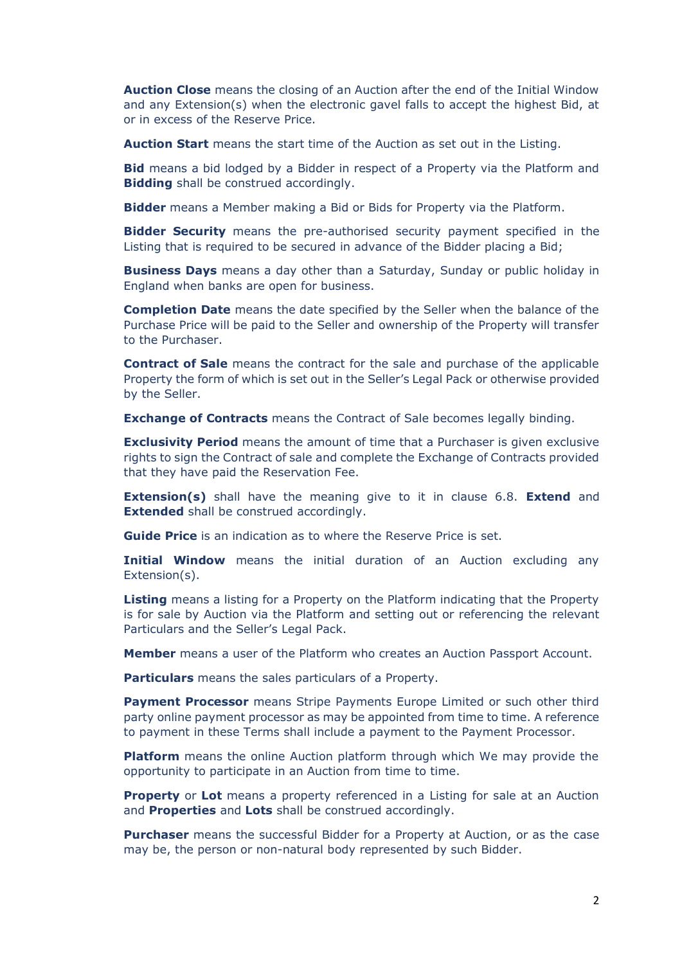**Auction Close** means the closing of an Auction after the end of the Initial Window and any Extension(s) when the electronic gavel falls to accept the highest Bid, at or in excess of the Reserve Price.

**Auction Start** means the start time of the Auction as set out in the Listing.

**Bid** means a bid lodged by a Bidder in respect of a Property via the Platform and **Bidding** shall be construed accordingly.

**Bidder** means a Member making a Bid or Bids for Property via the Platform.

**Bidder Security** means the pre-authorised security payment specified in the Listing that is required to be secured in advance of the Bidder placing a Bid;

**Business Days** means a day other than a Saturday, Sunday or public holiday in England when banks are open for business.

**Completion Date** means the date specified by the Seller when the balance of the Purchase Price will be paid to the Seller and ownership of the Property will transfer to the Purchaser.

**Contract of Sale** means the contract for the sale and purchase of the applicable Property the form of which is set out in the Seller's Legal Pack or otherwise provided by the Seller.

**Exchange of Contracts** means the Contract of Sale becomes legally binding.

**Exclusivity Period** means the amount of time that a Purchaser is given exclusive rights to sign the Contract of sale and complete the Exchange of Contracts provided that they have paid the Reservation Fee.

**Extension(s)** shall have the meaning give to it in clause 6.8. **Extend** and **Extended** shall be construed accordingly.

**Guide Price** is an indication as to where the Reserve Price is set.

**Initial Window** means the initial duration of an Auction excluding any Extension(s).

**Listing** means a listing for a Property on the Platform indicating that the Property is for sale by Auction via the Platform and setting out or referencing the relevant Particulars and the Seller's Legal Pack.

**Member** means a user of the Platform who creates an Auction Passport Account.

**Particulars** means the sales particulars of a Property.

**Payment Processor** means Stripe Payments Europe Limited or such other third party online payment processor as may be appointed from time to time. A reference to payment in these Terms shall include a payment to the Payment Processor.

**Platform** means the online Auction platform through which We may provide the opportunity to participate in an Auction from time to time.

**Property** or **Lot** means a property referenced in a Listing for sale at an Auction and **Properties** and **Lots** shall be construed accordingly.

**Purchaser** means the successful Bidder for a Property at Auction, or as the case may be, the person or non-natural body represented by such Bidder.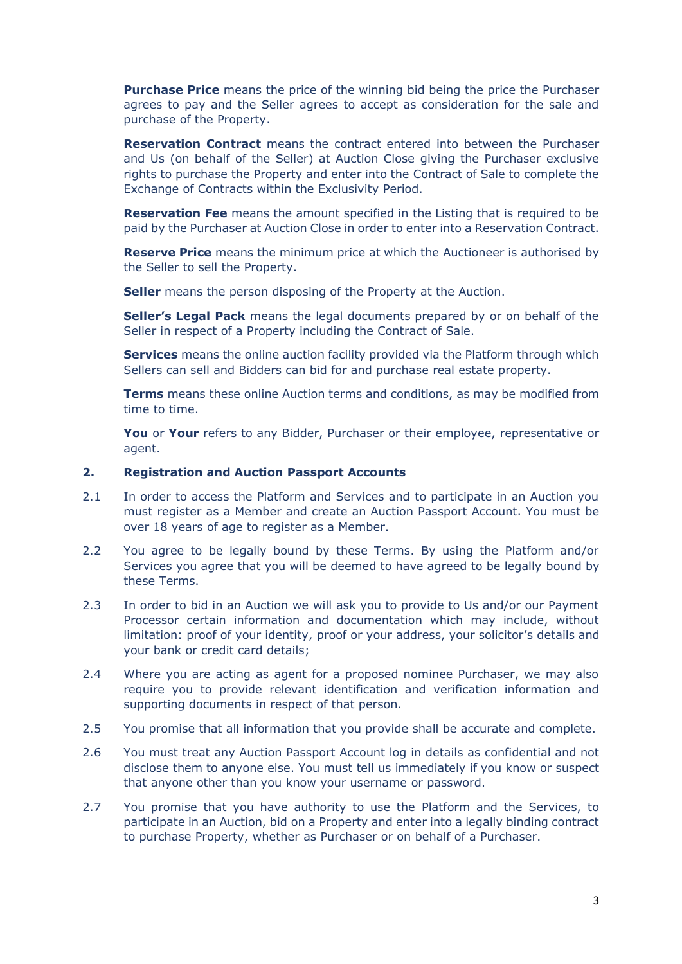**Purchase Price** means the price of the winning bid being the price the Purchaser agrees to pay and the Seller agrees to accept as consideration for the sale and purchase of the Property.

**Reservation Contract** means the contract entered into between the Purchaser and Us (on behalf of the Seller) at Auction Close giving the Purchaser exclusive rights to purchase the Property and enter into the Contract of Sale to complete the Exchange of Contracts within the Exclusivity Period.

**Reservation Fee** means the amount specified in the Listing that is required to be paid by the Purchaser at Auction Close in order to enter into a Reservation Contract.

**Reserve Price** means the minimum price at which the Auctioneer is authorised by the Seller to sell the Property.

**Seller** means the person disposing of the Property at the Auction.

**Seller's Legal Pack** means the legal documents prepared by or on behalf of the Seller in respect of a Property including the Contract of Sale.

**Services** means the online auction facility provided via the Platform through which Sellers can sell and Bidders can bid for and purchase real estate property.

**Terms** means these online Auction terms and conditions, as may be modified from time to time.

**You** or **Your** refers to any Bidder, Purchaser or their employee, representative or agent.

#### **2. Registration and Auction Passport Accounts**

- 2.1 In order to access the Platform and Services and to participate in an Auction you must register as a Member and create an Auction Passport Account. You must be over 18 years of age to register as a Member.
- 2.2 You agree to be legally bound by these Terms. By using the Platform and/or Services you agree that you will be deemed to have agreed to be legally bound by these Terms.
- 2.3 In order to bid in an Auction we will ask you to provide to Us and/or our Payment Processor certain information and documentation which may include, without limitation: proof of your identity, proof or your address, your solicitor's details and your bank or credit card details;
- 2.4 Where you are acting as agent for a proposed nominee Purchaser, we may also require you to provide relevant identification and verification information and supporting documents in respect of that person.
- 2.5 You promise that all information that you provide shall be accurate and complete.
- 2.6 You must treat any Auction Passport Account log in details as confidential and not disclose them to anyone else. You must tell us immediately if you know or suspect that anyone other than you know your username or password.
- 2.7 You promise that you have authority to use the Platform and the Services, to participate in an Auction, bid on a Property and enter into a legally binding contract to purchase Property, whether as Purchaser or on behalf of a Purchaser.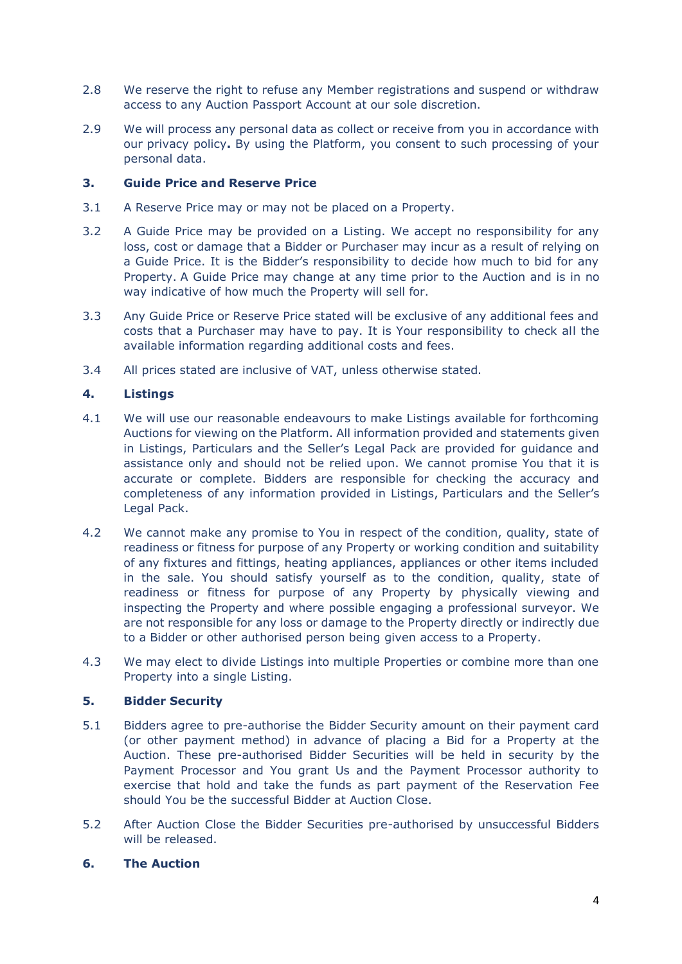- 2.8 We reserve the right to refuse any Member registrations and suspend or withdraw access to any Auction Passport Account at our sole discretion.
- 2.9 We will process any personal data as collect or receive from you in accordance with our privacy policy**.** By using the Platform, you consent to such processing of your personal data.

# **3. Guide Price and Reserve Price**

- 3.1 A Reserve Price may or may not be placed on a Property.
- 3.2 A Guide Price may be provided on a Listing. We accept no responsibility for any loss, cost or damage that a Bidder or Purchaser may incur as a result of relying on a Guide Price. It is the Bidder's responsibility to decide how much to bid for any Property. A Guide Price may change at any time prior to the Auction and is in no way indicative of how much the Property will sell for.
- 3.3 Any Guide Price or Reserve Price stated will be exclusive of any additional fees and costs that a Purchaser may have to pay. It is Your responsibility to check all the available information regarding additional costs and fees.
- 3.4 All prices stated are inclusive of VAT, unless otherwise stated.

# **4. Listings**

- 4.1 We will use our reasonable endeavours to make Listings available for forthcoming Auctions for viewing on the Platform. All information provided and statements given in Listings, Particulars and the Seller's Legal Pack are provided for guidance and assistance only and should not be relied upon. We cannot promise You that it is accurate or complete. Bidders are responsible for checking the accuracy and completeness of any information provided in Listings, Particulars and the Seller's Legal Pack.
- 4.2 We cannot make any promise to You in respect of the condition, quality, state of readiness or fitness for purpose of any Property or working condition and suitability of any fixtures and fittings, heating appliances, appliances or other items included in the sale. You should satisfy yourself as to the condition, quality, state of readiness or fitness for purpose of any Property by physically viewing and inspecting the Property and where possible engaging a professional surveyor. We are not responsible for any loss or damage to the Property directly or indirectly due to a Bidder or other authorised person being given access to a Property.
- 4.3 We may elect to divide Listings into multiple Properties or combine more than one Property into a single Listing.

#### **5. Bidder Security**

- 5.1 Bidders agree to pre-authorise the Bidder Security amount on their payment card (or other payment method) in advance of placing a Bid for a Property at the Auction. These pre-authorised Bidder Securities will be held in security by the Payment Processor and You grant Us and the Payment Processor authority to exercise that hold and take the funds as part payment of the Reservation Fee should You be the successful Bidder at Auction Close.
- 5.2 After Auction Close the Bidder Securities pre-authorised by unsuccessful Bidders will be released.

## **6. The Auction**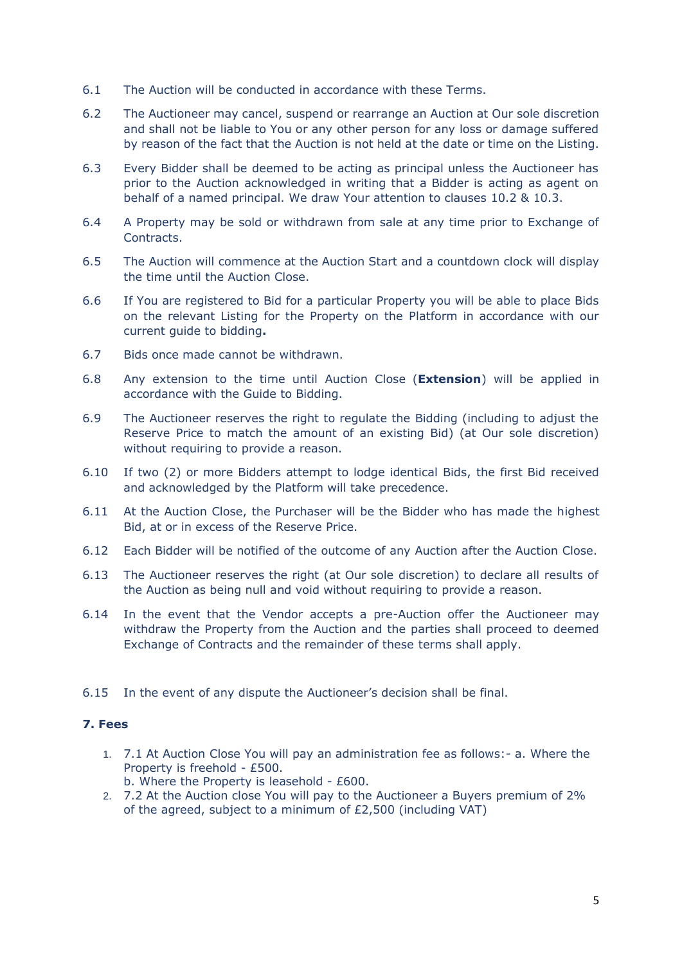- 6.1 The Auction will be conducted in accordance with these Terms.
- 6.2 The Auctioneer may cancel, suspend or rearrange an Auction at Our sole discretion and shall not be liable to You or any other person for any loss or damage suffered by reason of the fact that the Auction is not held at the date or time on the Listing.
- 6.3 Every Bidder shall be deemed to be acting as principal unless the Auctioneer has prior to the Auction acknowledged in writing that a Bidder is acting as agent on behalf of a named principal. We draw Your attention to clauses 10.2 & 10.3.
- 6.4 A Property may be sold or withdrawn from sale at any time prior to Exchange of Contracts.
- 6.5 The Auction will commence at the Auction Start and a countdown clock will display the time until the Auction Close.
- 6.6 If You are registered to Bid for a particular Property you will be able to place Bids on the relevant Listing for the Property on the Platform in accordance with our current guide to bidding**.**
- 6.7 Bids once made cannot be withdrawn.
- 6.8 Any extension to the time until Auction Close (**Extension**) will be applied in accordance with the Guide to Bidding.
- 6.9 The Auctioneer reserves the right to regulate the Bidding (including to adjust the Reserve Price to match the amount of an existing Bid) (at Our sole discretion) without requiring to provide a reason.
- 6.10 If two (2) or more Bidders attempt to lodge identical Bids, the first Bid received and acknowledged by the Platform will take precedence.
- 6.11 At the Auction Close, the Purchaser will be the Bidder who has made the highest Bid, at or in excess of the Reserve Price.
- 6.12 Each Bidder will be notified of the outcome of any Auction after the Auction Close.
- 6.13 The Auctioneer reserves the right (at Our sole discretion) to declare all results of the Auction as being null and void without requiring to provide a reason.
- 6.14 In the event that the Vendor accepts a pre-Auction offer the Auctioneer may withdraw the Property from the Auction and the parties shall proceed to deemed Exchange of Contracts and the remainder of these terms shall apply.
- 6.15 In the event of any dispute the Auctioneer's decision shall be final.

## **7. Fees**

- 1. 7.1 At Auction Close You will pay an administration fee as follows:- a. Where the Property is freehold - £500.
	- b. Where the Property is leasehold £600.
- 2. 7.2 At the Auction close You will pay to the Auctioneer a Buyers premium of 2% of the agreed, subject to a minimum of £2,500 (including VAT)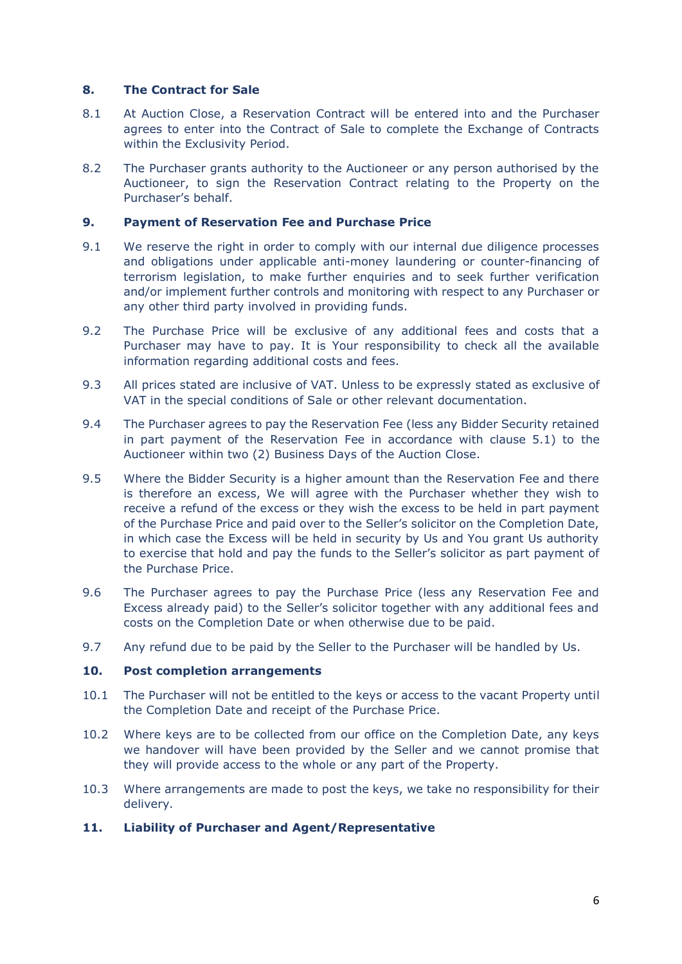## **8. The Contract for Sale**

- 8.1 At Auction Close, a Reservation Contract will be entered into and the Purchaser agrees to enter into the Contract of Sale to complete the Exchange of Contracts within the Exclusivity Period.
- 8.2 The Purchaser grants authority to the Auctioneer or any person authorised by the Auctioneer, to sign the Reservation Contract relating to the Property on the Purchaser's behalf.

## **9. Payment of Reservation Fee and Purchase Price**

- 9.1 We reserve the right in order to comply with our internal due diligence processes and obligations under applicable anti-money laundering or counter-financing of terrorism legislation, to make further enquiries and to seek further verification and/or implement further controls and monitoring with respect to any Purchaser or any other third party involved in providing funds.
- 9.2 The Purchase Price will be exclusive of any additional fees and costs that a Purchaser may have to pay. It is Your responsibility to check all the available information regarding additional costs and fees.
- 9.3 All prices stated are inclusive of VAT. Unless to be expressly stated as exclusive of VAT in the special conditions of Sale or other relevant documentation.
- 9.4 The Purchaser agrees to pay the Reservation Fee (less any Bidder Security retained in part payment of the Reservation Fee in accordance with clause 5.1) to the Auctioneer within two (2) Business Days of the Auction Close.
- 9.5 Where the Bidder Security is a higher amount than the Reservation Fee and there is therefore an excess, We will agree with the Purchaser whether they wish to receive a refund of the excess or they wish the excess to be held in part payment of the Purchase Price and paid over to the Seller's solicitor on the Completion Date, in which case the Excess will be held in security by Us and You grant Us authority to exercise that hold and pay the funds to the Seller's solicitor as part payment of the Purchase Price.
- 9.6 The Purchaser agrees to pay the Purchase Price (less any Reservation Fee and Excess already paid) to the Seller's solicitor together with any additional fees and costs on the Completion Date or when otherwise due to be paid.
- 9.7 Any refund due to be paid by the Seller to the Purchaser will be handled by Us.

#### **10. Post completion arrangements**

- 10.1 The Purchaser will not be entitled to the keys or access to the vacant Property until the Completion Date and receipt of the Purchase Price.
- 10.2 Where keys are to be collected from our office on the Completion Date, any keys we handover will have been provided by the Seller and we cannot promise that they will provide access to the whole or any part of the Property.
- 10.3 Where arrangements are made to post the keys, we take no responsibility for their delivery.

# **11. Liability of Purchaser and Agent/Representative**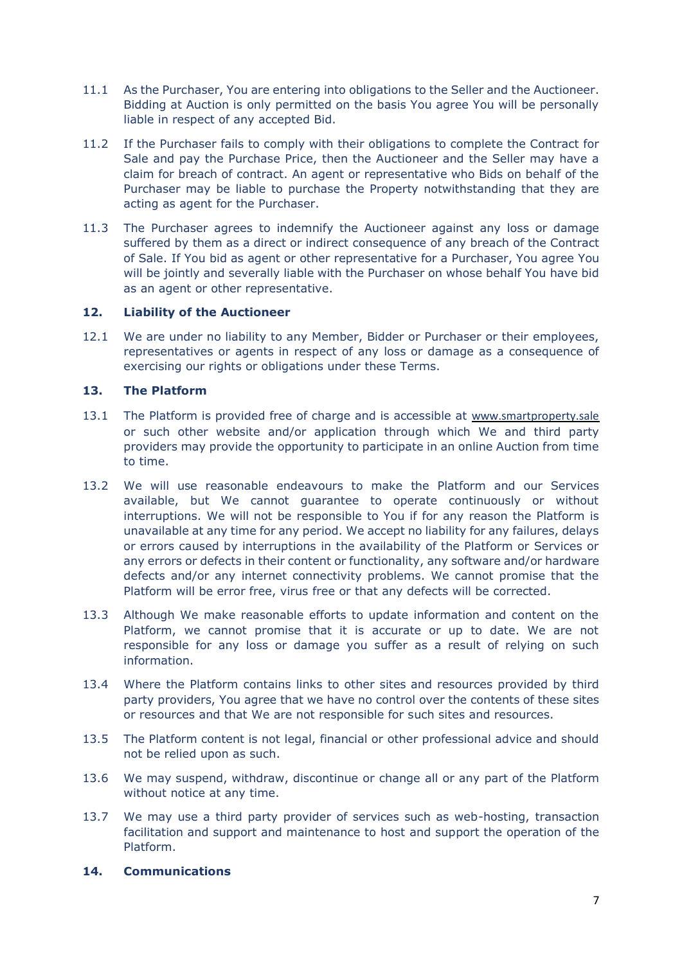- 11.1 As the Purchaser, You are entering into obligations to the Seller and the Auctioneer. Bidding at Auction is only permitted on the basis You agree You will be personally liable in respect of any accepted Bid.
- 11.2 If the Purchaser fails to comply with their obligations to complete the Contract for Sale and pay the Purchase Price, then the Auctioneer and the Seller may have a claim for breach of contract. An agent or representative who Bids on behalf of the Purchaser may be liable to purchase the Property notwithstanding that they are acting as agent for the Purchaser.
- 11.3 The Purchaser agrees to indemnify the Auctioneer against any loss or damage suffered by them as a direct or indirect consequence of any breach of the Contract of Sale. If You bid as agent or other representative for a Purchaser, You agree You will be jointly and severally liable with the Purchaser on whose behalf You have bid as an agent or other representative.

## **12. Liability of the Auctioneer**

12.1 We are under no liability to any Member, Bidder or Purchaser or their employees, representatives or agents in respect of any loss or damage as a consequence of exercising our rights or obligations under these Terms.

## **13. The Platform**

- 13.1 The Platform is provided free of charge and is accessible at [www.smartproperty.sale](http://www.smartproperty.sale/) or such other website and/or application through which We and third party providers may provide the opportunity to participate in an online Auction from time to time.
- 13.2 We will use reasonable endeavours to make the Platform and our Services available, but We cannot guarantee to operate continuously or without interruptions. We will not be responsible to You if for any reason the Platform is unavailable at any time for any period. We accept no liability for any failures, delays or errors caused by interruptions in the availability of the Platform or Services or any errors or defects in their content or functionality, any software and/or hardware defects and/or any internet connectivity problems. We cannot promise that the Platform will be error free, virus free or that any defects will be corrected.
- 13.3 Although We make reasonable efforts to update information and content on the Platform, we cannot promise that it is accurate or up to date. We are not responsible for any loss or damage you suffer as a result of relying on such information.
- 13.4 Where the Platform contains links to other sites and resources provided by third party providers, You agree that we have no control over the contents of these sites or resources and that We are not responsible for such sites and resources.
- 13.5 The Platform content is not legal, financial or other professional advice and should not be relied upon as such.
- 13.6 We may suspend, withdraw, discontinue or change all or any part of the Platform without notice at any time.
- 13.7 We may use a third party provider of services such as web-hosting, transaction facilitation and support and maintenance to host and support the operation of the Platform.

#### **14. Communications**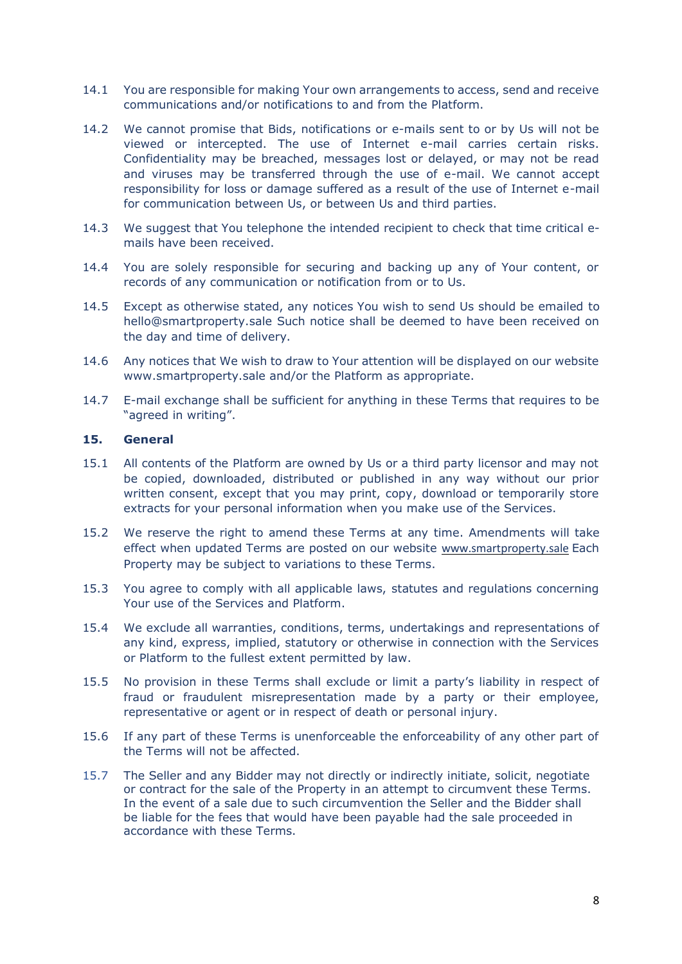- 14.1 You are responsible for making Your own arrangements to access, send and receive communications and/or notifications to and from the Platform.
- 14.2 We cannot promise that Bids, notifications or e-mails sent to or by Us will not be viewed or intercepted. The use of Internet e-mail carries certain risks. Confidentiality may be breached, messages lost or delayed, or may not be read and viruses may be transferred through the use of e-mail. We cannot accept responsibility for loss or damage suffered as a result of the use of Internet e-mail for communication between Us, or between Us and third parties.
- 14.3 We suggest that You telephone the intended recipient to check that time critical emails have been received.
- 14.4 You are solely responsible for securing and backing up any of Your content, or records of any communication or notification from or to Us.
- 14.5 Except as otherwise stated, any notices You wish to send Us should be emailed to hello@smartproperty.sale Such notice shall be deemed to have been received on the day and time of delivery.
- 14.6 Any notices that We wish to draw to Your attention will be displayed on our website www.smartproperty.sale and/or the Platform as appropriate.
- 14.7 E-mail exchange shall be sufficient for anything in these Terms that requires to be "agreed in writing".

## **15. General**

- 15.1 All contents of the Platform are owned by Us or a third party licensor and may not be copied, downloaded, distributed or published in any way without our prior written consent, except that you may print, copy, download or temporarily store extracts for your personal information when you make use of the Services.
- 15.2 We reserve the right to amend these Terms at any time. Amendments will take effect when updated Terms are posted on our website [www.smartproperty.sale](http://www.smartproperty.sale/) Each Property may be subject to variations to these Terms.
- 15.3 You agree to comply with all applicable laws, statutes and regulations concerning Your use of the Services and Platform.
- 15.4 We exclude all warranties, conditions, terms, undertakings and representations of any kind, express, implied, statutory or otherwise in connection with the Services or Platform to the fullest extent permitted by law.
- 15.5 No provision in these Terms shall exclude or limit a party's liability in respect of fraud or fraudulent misrepresentation made by a party or their employee, representative or agent or in respect of death or personal injury.
- 15.6 If any part of these Terms is unenforceable the enforceability of any other part of the Terms will not be affected.
- 15.7 The Seller and any Bidder may not directly or indirectly initiate, solicit, negotiate or contract for the sale of the Property in an attempt to circumvent these Terms. In the event of a sale due to such circumvention the Seller and the Bidder shall be liable for the fees that would have been payable had the sale proceeded in accordance with these Terms.